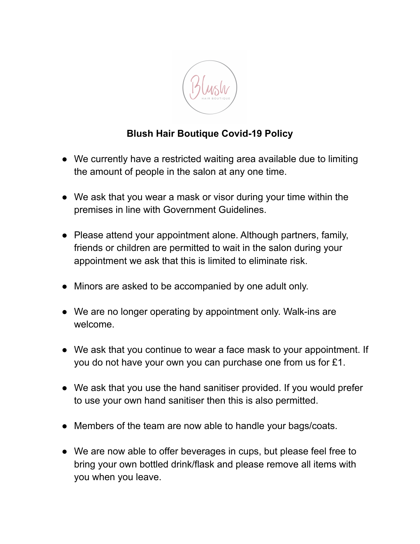

## **Blush Hair Boutique Covid-19 Policy**

- **●** We currently have a restricted waiting area available due to limiting the amount of people in the salon at any one time.
- We ask that you wear a mask or visor during your time within the premises in line with Government Guidelines.
- Please attend your appointment alone. Although partners, family, friends or children are permitted to wait in the salon during your appointment we ask that this is limited to eliminate risk.
- Minors are asked to be accompanied by one adult only.
- We are no longer operating by appointment only. Walk-ins are welcome.
- We ask that you continue to wear a face mask to your appointment. If you do not have your own you can purchase one from us for £1.
- We ask that you use the hand sanitiser provided. If you would prefer to use your own hand sanitiser then this is also permitted.
- Members of the team are now able to handle your bags/coats.
- We are now able to offer beverages in cups, but please feel free to bring your own bottled drink/flask and please remove all items with you when you leave.